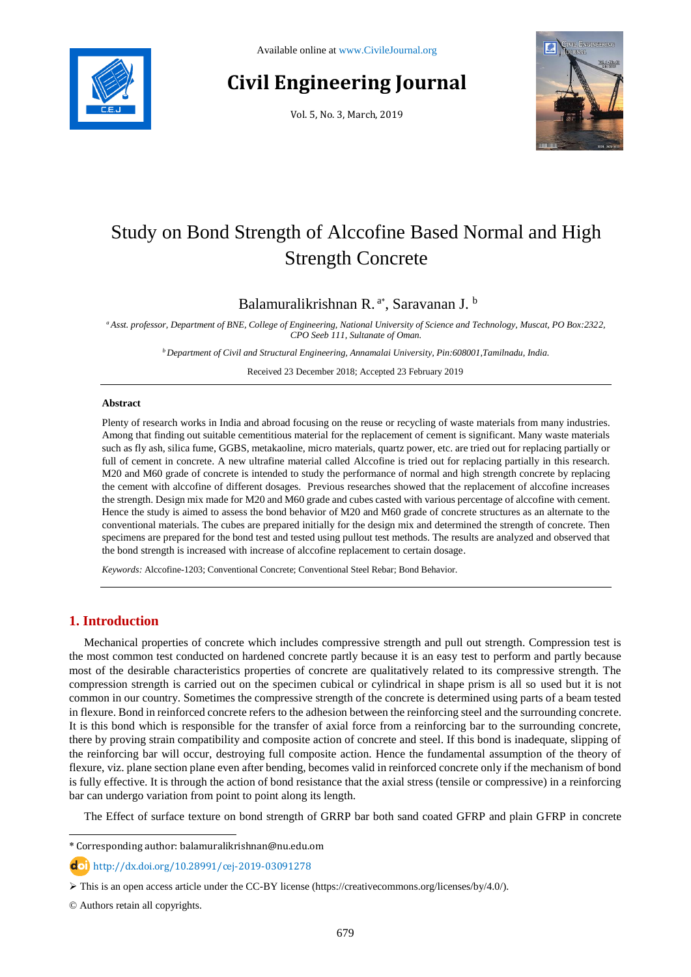

# **Civil Engineering Journal**

Vol. 5, No. 3, March, 2019



# Study on Bond Strength of Alccofine Based Normal and High Strength Concrete

# Balamuralikrishnan R.<sup>a\*</sup>, Saravanan J.<sup>b</sup>

*<sup>a</sup>Asst. professor, Department of BNE, College of Engineering, National University of Science and Technology, Muscat, PO Box:2322, CPO Seeb 111, Sultanate of Oman.*

*<sup>b</sup>Department of Civil and Structural Engineering, Annamalai University, Pin:608001,Tamilnadu, India.*

Received 23 December 2018; Accepted 23 February 2019

#### **Abstract**

Plenty of research works in India and abroad focusing on the reuse or recycling of waste materials from many industries. Among that finding out suitable cementitious material for the replacement of cement is significant. Many waste materials such as fly ash, silica fume, GGBS, metakaoline, micro materials, quartz power, etc. are tried out for replacing partially or full of cement in concrete. A new ultrafine material called Alccofine is tried out for replacing partially in this research. M20 and M60 grade of concrete is intended to study the performance of normal and high strength concrete by replacing the cement with alccofine of different dosages. Previous researches showed that the replacement of alccofine increases the strength. Design mix made for M20 and M60 grade and cubes casted with various percentage of alccofine with cement. Hence the study is aimed to assess the bond behavior of M20 and M60 grade of concrete structures as an alternate to the conventional materials. The cubes are prepared initially for the design mix and determined the strength of concrete. Then specimens are prepared for the bond test and tested using pullout test methods. The results are analyzed and observed that the bond strength is increased with increase of alccofine replacement to certain dosage.

*Keywords:* Alccofine-1203; Conventional Concrete; Conventional Steel Rebar; Bond Behavior.

# **1. Introduction**

Mechanical properties of concrete which includes compressive strength and pull out strength. Compression test is the most common test conducted on hardened concrete partly because it is an easy test to perform and partly because most of the desirable characteristics properties of concrete are qualitatively related to its compressive strength. The compression strength is carried out on the specimen cubical or cylindrical in shape prism is all so used but it is not common in our country. Sometimes the compressive strength of the concrete is determined using parts of a beam tested in flexure. Bond in reinforced concrete refers to the adhesion between the reinforcing steel and the surrounding concrete. It is this bond which is responsible for the transfer of axial force from a reinforcing bar to the surrounding concrete, there by proving strain compatibility and composite action of concrete and steel. If this bond is inadequate, slipping of the reinforcing bar will occur, destroying full composite action. Hence the fundamental assumption of the theory of flexure, viz. plane section plane even after bending, becomes valid in reinforced concrete only if the mechanism of bond is fully effective. It is through the action of bond resistance that the axial stress (tensile or compressive) in a reinforcing bar can undergo variation from point to point along its length.

The Effect of surface texture on bond strength of GRRP bar both sand coated GFRP and plain GFRP in concrete

l

<sup>\*</sup> Corresponding author: balamuralikrishnan@nu.edu.om

http://dx.doi.org/10.28991/cej-2019-03091278

This is an open access article under the CC-BY license [\(https://creativecommons.org/licenses/by/4.0/\)](https://creativecommons.org/licenses/by/4.0/).

<sup>©</sup> Authors retain all copyrights.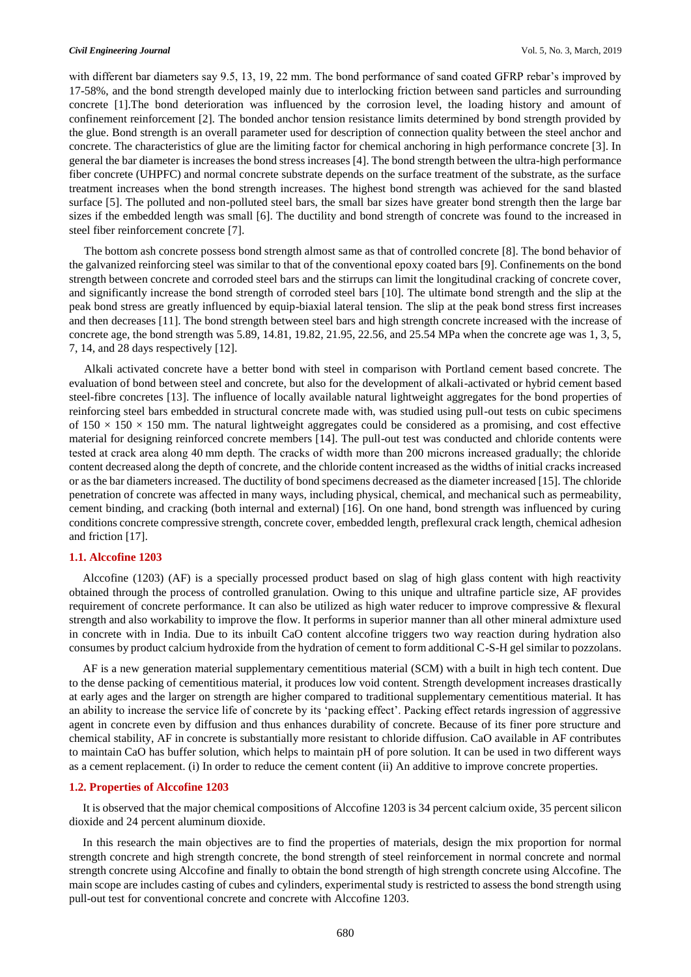with different bar diameters say 9.5, 13, 19, 22 mm. The bond performance of sand coated GFRP rebar's improved by 17-58%, and the bond strength developed mainly due to interlocking friction between sand particles and surrounding concrete [1].The bond deterioration was influenced by the corrosion level, the loading history and amount of confinement reinforcement [2]. The bonded anchor tension resistance limits determined by bond strength provided by the glue. Bond strength is an overall parameter used for description of connection quality between the steel anchor and concrete. The characteristics of glue are the limiting factor for chemical anchoring in high performance concrete [3]. In general the bar diameter is increases the bond stress increases [4]. The bond strength between the ultra-high performance fiber concrete (UHPFC) and normal concrete substrate depends on the surface treatment of the substrate, as the surface treatment increases when the bond strength increases. The highest bond strength was achieved for the sand blasted surface [5]. The polluted and non-polluted steel bars, the small bar sizes have greater bond strength then the large bar sizes if the embedded length was small [6]. The ductility and bond strength of concrete was found to the increased in steel fiber reinforcement concrete [7].

The bottom ash concrete possess bond strength almost same as that of controlled concrete [8]. The bond behavior of the galvanized reinforcing steel was similar to that of the conventional epoxy coated bars [9]. Confinements on the bond strength between concrete and corroded steel bars and the stirrups can limit the longitudinal cracking of concrete cover, and significantly increase the bond strength of corroded steel bars [10]. The ultimate bond strength and the slip at the peak bond stress are greatly influenced by equip-biaxial lateral tension. The slip at the peak bond stress first increases and then decreases [11]. The bond strength between steel bars and high strength concrete increased with the increase of concrete age, the bond strength was 5.89, 14.81, 19.82, 21.95, 22.56, and 25.54 MPa when the concrete age was 1, 3, 5, 7, 14, and 28 days respectively [12].

Alkali activated concrete have a better bond with steel in comparison with Portland cement based concrete. The evaluation of bond between steel and concrete, but also for the development of alkali-activated or hybrid cement based steel-fibre concretes [13]. The influence of locally available natural lightweight aggregates for the bond properties of reinforcing steel bars embedded in structural concrete made with, was studied using pull-out tests on cubic specimens of  $150 \times 150 \times 150$  mm. The natural lightweight aggregates could be considered as a promising, and cost effective material for designing reinforced concrete members [14]. The pull-out test was conducted and chloride contents were tested at crack area along 40 mm depth. The cracks of width more than 200 microns increased gradually; the chloride content decreased along the depth of concrete, and the chloride content increased as the widths of initial cracks increased or as the bar diameters increased. The ductility of bond specimens decreased as the diameter increased [15]. The chloride penetration of concrete was affected in many ways, including physical, chemical, and mechanical such as permeability, cement binding, and cracking (both internal and external) [16]. On one hand, bond strength was influenced by curing conditions concrete compressive strength, concrete cover, embedded length, preflexural crack length, chemical adhesion and friction [17].

#### **1.1. Alccofine 1203**

Alccofine (1203) (AF) is a specially processed product based on slag of high glass content with high reactivity obtained through the process of controlled granulation. Owing to this unique and ultrafine particle size, AF provides requirement of concrete performance. It can also be utilized as high water reducer to improve compressive & flexural strength and also workability to improve the flow. It performs in superior manner than all other mineral admixture used in concrete with in India. Due to its inbuilt CaO content alccofine triggers two way reaction during hydration also consumes by product calcium hydroxide from the hydration of cement to form additional C-S-H gel similar to pozzolans.

AF is a new generation material supplementary cementitious material (SCM) with a built in high tech content. Due to the dense packing of cementitious material, it produces low void content. Strength development increases drastically at early ages and the larger on strength are higher compared to traditional supplementary cementitious material. It has an ability to increase the service life of concrete by its 'packing effect'. Packing effect retards ingression of aggressive agent in concrete even by diffusion and thus enhances durability of concrete. Because of its finer pore structure and chemical stability, AF in concrete is substantially more resistant to chloride diffusion. CaO available in AF contributes to maintain CaO has buffer solution, which helps to maintain pH of pore solution. It can be used in two different ways as a cement replacement. (i) In order to reduce the cement content (ii) An additive to improve concrete properties.

#### **1.2. Properties of Alccofine 1203**

It is observed that the major chemical compositions of Alccofine 1203 is 34 percent calcium oxide, 35 percent silicon dioxide and 24 percent aluminum dioxide.

In this research the main objectives are to find the properties of materials, design the mix proportion for normal strength concrete and high strength concrete, the bond strength of steel reinforcement in normal concrete and normal strength concrete using Alccofine and finally to obtain the bond strength of high strength concrete using Alccofine. The main scope are includes casting of cubes and cylinders, experimental study is restricted to assess the bond strength using pull-out test for conventional concrete and concrete with Alccofine 1203.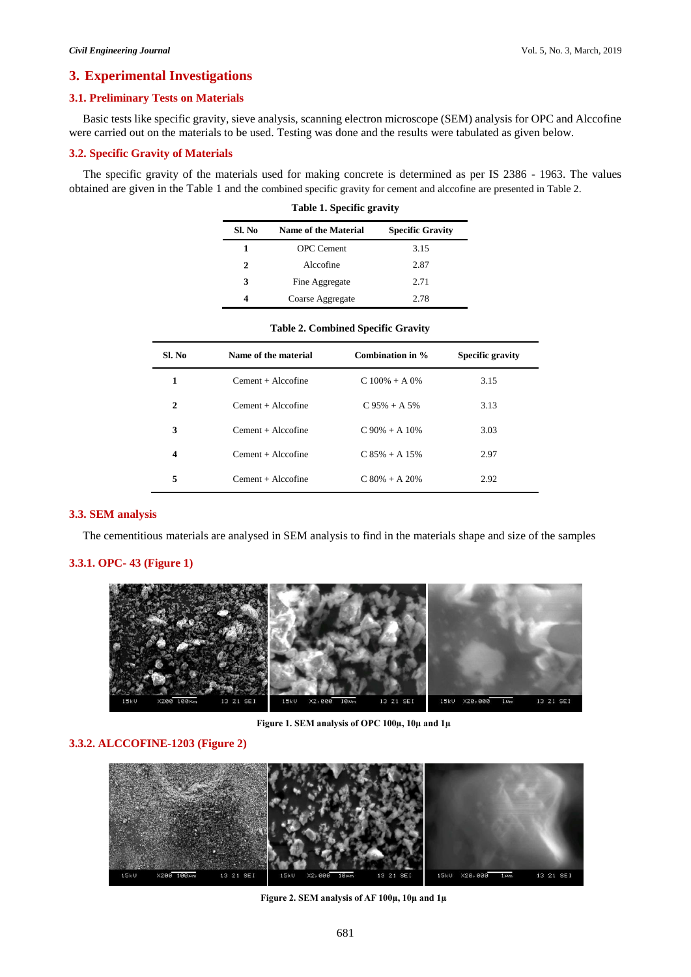### **3. Experimental Investigations**

### **3.1. Preliminary Tests on Materials**

Basic tests like specific gravity, sieve analysis, scanning electron microscope (SEM) analysis for OPC and Alccofine were carried out on the materials to be used. Testing was done and the results were tabulated as given below.

#### **3.2. Specific Gravity of Materials**

The specific gravity of the materials used for making concrete is determined as per IS 2386 - 1963. The values obtained are given in the Table 1 and the combined specific gravity for cement and alccofine are presented in Table 2.

|        | Table 1. Specific gravity |      |  |  |  |  |  |
|--------|---------------------------|------|--|--|--|--|--|
| SI. No | <b>Specific Gravity</b>   |      |  |  |  |  |  |
| 1      | <b>OPC</b> Cement         | 3.15 |  |  |  |  |  |
| 2      | Alccofine                 | 2.87 |  |  |  |  |  |
| 3      | Fine Aggregate            | 2.71 |  |  |  |  |  |
| 4      | Coarse Aggregate          | 2.78 |  |  |  |  |  |

|                         |                      | <b>Table 2. Combined Specific Gravity</b> |                         |  |
|-------------------------|----------------------|-------------------------------------------|-------------------------|--|
| Sl. No                  | Name of the material | Combination in %                          | <b>Specific gravity</b> |  |
| 1                       | $Cement + Alccofine$ | $C$ 100% + A 0%                           | 3.15                    |  |
| $\mathbf{2}$            | $Cement + Alccofine$ | $C.95% + A.5%$                            | 3.13                    |  |
| 3                       | $Cement + Alccofine$ | $C.90\% + A.10\%$                         | 3.03                    |  |
| $\overline{\mathbf{4}}$ | $Cement + Alccofine$ | $C.85\% + A.15\%$                         | 2.97                    |  |
| 5                       | $Cement + Alccofine$ | $C$ 80% + A 20%                           | 2.92                    |  |

#### **3.3. SEM analysis**

The cementitious materials are analysed in SEM analysis to find in the materials shape and size of the samples

#### **3.3.1. OPC- 43 (Figure 1)**



**Figure 1. SEM analysis of OPC 100µ, 10µ and 1µ**

# **3.3.2. ALCCOFINE-1203 (Figure 2)**



**Figure 2. SEM analysis of AF 100µ, 10µ and 1µ**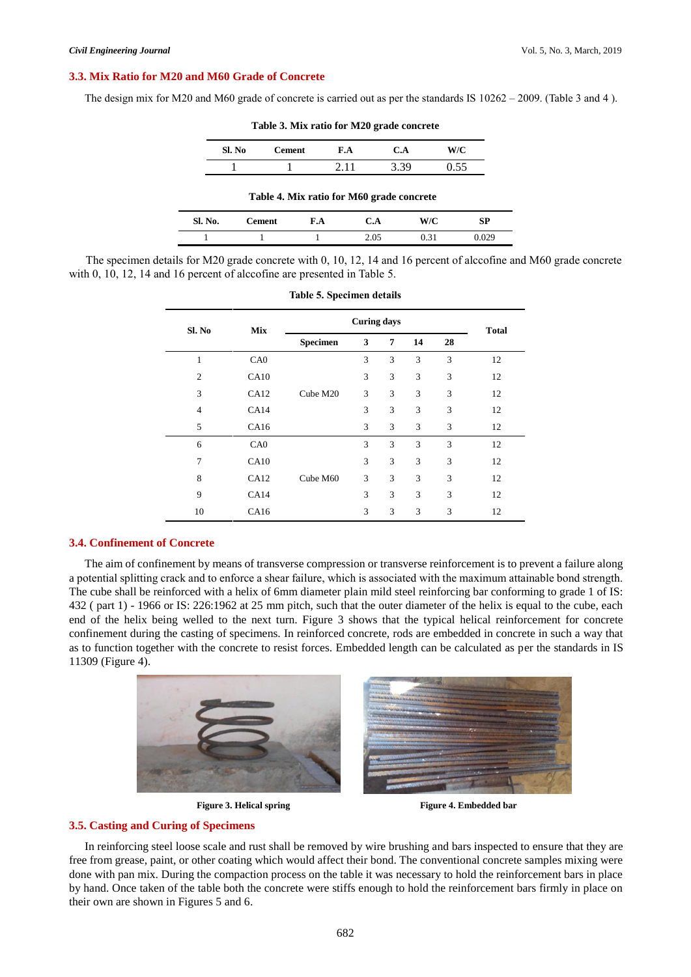#### **3.3. Mix Ratio for M20 and M60 Grade of Concrete**

The design mix for M20 and M60 grade of concrete is carried out as per the standards IS  $10262 - 2009$ . (Table 3 and 4).

|         | Sl. No | <b>Cement</b>                             | F.A  | C.A  | W/C  |       |
|---------|--------|-------------------------------------------|------|------|------|-------|
|         |        |                                           | 2.11 | 3.39 | 0.55 |       |
|         |        | Table 4. Mix ratio for M60 grade concrete |      |      |      |       |
| Sl. No. |        | <b>Cement</b>                             | F.A  | C.A  | W/C  | SP    |
|         |        |                                           |      | 2.05 | 0.31 | 0.02S |

**Table 3. Mix ratio for M20 grade concrete**

#### The specimen details for M20 grade concrete with 0, 10, 12, 14 and 16 percent of alccofine and M60 grade concrete with 0, 10, 12, 14 and 16 percent of alccofine are presented in Table 5.

| Sl. No         | Mix  | <b>Curing days</b> |   |   |    |    | <b>Total</b> |
|----------------|------|--------------------|---|---|----|----|--------------|
|                |      | Specimen           | 3 | 7 | 14 | 28 |              |
| $\mathbf{1}$   | CA0  |                    | 3 | 3 | 3  | 3  | 12           |
| $\overline{c}$ | CA10 |                    | 3 | 3 | 3  | 3  | 12           |
| 3              | CA12 | Cube M20           | 3 | 3 | 3  | 3  | 12           |
| $\overline{4}$ | CA14 |                    | 3 | 3 | 3  | 3  | 12           |
| 5              | CA16 |                    | 3 | 3 | 3  | 3  | 12           |
| 6              | CA0  |                    | 3 | 3 | 3  | 3  | 12           |
| $\overline{7}$ | CA10 |                    | 3 | 3 | 3  | 3  | 12           |
| 8              | CA12 | Cube M60           | 3 | 3 | 3  | 3  | 12           |
| 9              | CA14 |                    | 3 | 3 | 3  | 3  | 12           |
| 10             | CA16 |                    | 3 | 3 | 3  | 3  | 12           |

#### **Table 5. Specimen details**

#### **3.4. Confinement of Concrete**

The aim of confinement by means of transverse compression or transverse reinforcement is to prevent a failure along a potential splitting crack and to enforce a shear failure, which is associated with the maximum attainable bond strength. The cube shall be reinforced with a helix of 6mm diameter plain mild steel reinforcing bar conforming to grade 1 of IS: 432 ( part 1) - 1966 or IS: 226:1962 at 25 mm pitch, such that the outer diameter of the helix is equal to the cube, each end of the helix being welled to the next turn. Figure 3 shows that the typical helical reinforcement for concrete confinement during the casting of specimens. In reinforced concrete, rods are embedded in concrete in such a way that as to function together with the concrete to resist forces. Embedded length can be calculated as per the standards in IS 11309 (Figure 4).





**Figure 3. Helical spring Figure 4. Embedded bar** 

#### **3.5. Casting and Curing of Specimens**

In reinforcing steel loose scale and rust shall be removed by wire brushing and bars inspected to ensure that they are free from grease, paint, or other coating which would affect their bond. The conventional concrete samples mixing were done with pan mix. During the compaction process on the table it was necessary to hold the reinforcement bars in place by hand. Once taken of the table both the concrete were stiffs enough to hold the reinforcement bars firmly in place on their own are shown in Figures 5 and 6.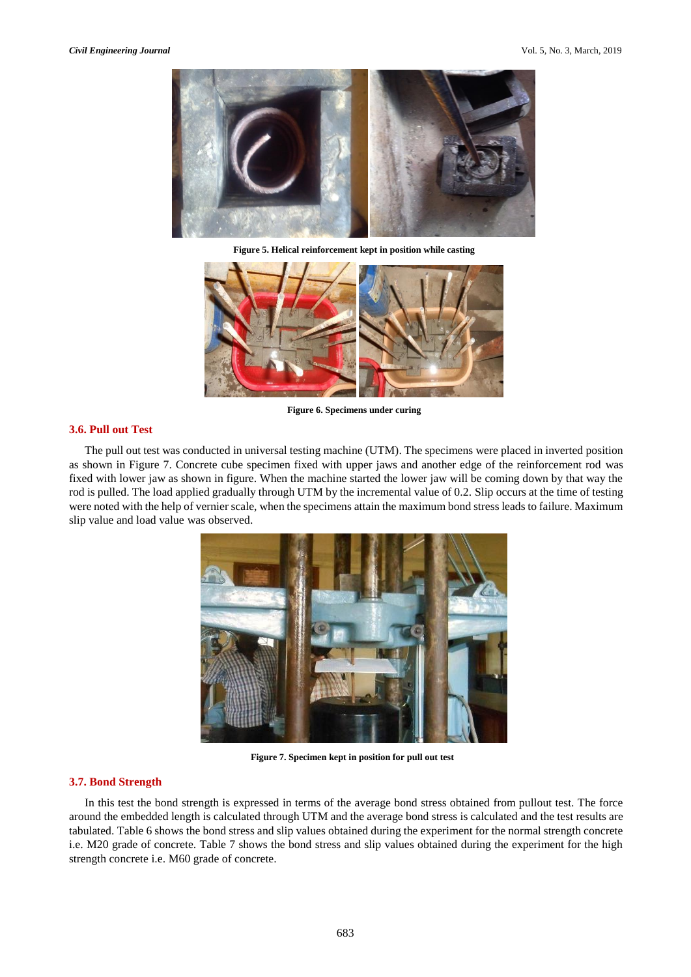

**Figure 5. Helical reinforcement kept in position while casting**



**Figure 6. Specimens under curing**

#### **3.6. Pull out Test**

The pull out test was conducted in universal testing machine (UTM). The specimens were placed in inverted position as shown in Figure 7. Concrete cube specimen fixed with upper jaws and another edge of the reinforcement rod was fixed with lower jaw as shown in figure. When the machine started the lower jaw will be coming down by that way the rod is pulled. The load applied gradually through UTM by the incremental value of 0.2. Slip occurs at the time of testing were noted with the help of vernier scale, when the specimens attain the maximum bond stress leads to failure. Maximum slip value and load value was observed.



 **Figure 7. Specimen kept in position for pull out test**

#### **3.7. Bond Strength**

In this test the bond strength is expressed in terms of the average bond stress obtained from pullout test. The force around the embedded length is calculated through UTM and the average bond stress is calculated and the test results are tabulated. Table 6 shows the bond stress and slip values obtained during the experiment for the normal strength concrete i.e. M20 grade of concrete. Table 7 shows the bond stress and slip values obtained during the experiment for the high strength concrete i.e. M60 grade of concrete.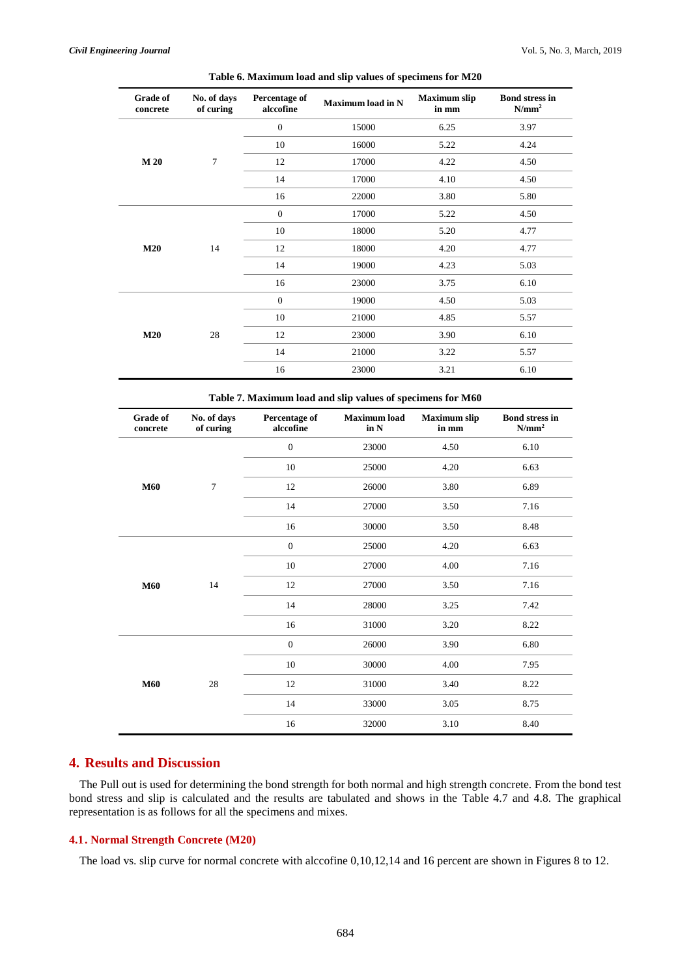| <b>Grade of</b><br>concrete | No. of days<br>of curing | Percentage of<br>alccofine | <b>Maximum load in N</b> | <b>Maximum</b> slip<br>in mm | <b>Bond stress in</b><br>N/mm <sup>2</sup> |
|-----------------------------|--------------------------|----------------------------|--------------------------|------------------------------|--------------------------------------------|
|                             |                          | $\mathbf{0}$               | 15000                    | 6.25                         | 3.97                                       |
|                             |                          | 10                         | 16000                    | 5.22                         | 4.24                                       |
| M 20                        | 7                        | 12                         | 17000                    | 4.22                         | 4.50                                       |
|                             |                          | 14                         | 17000                    | 4.10                         | 4.50                                       |
|                             |                          | 16                         | 22000                    | 3.80                         | 5.80                                       |
|                             |                          | $\mathbf{0}$               | 17000                    | 5.22                         | 4.50                                       |
|                             |                          | 10                         | 18000                    | 5.20                         | 4.77                                       |
| M20                         | 14                       | 12                         | 18000                    | 4.20                         | 4.77                                       |
|                             |                          | 14                         | 19000                    | 4.23                         | 5.03                                       |
|                             |                          | 16                         | 23000                    | 3.75                         | 6.10                                       |
|                             |                          | $\mathbf{0}$               | 19000                    | 4.50                         | 5.03                                       |
|                             |                          | 10                         | 21000                    | 4.85                         | 5.57                                       |
| M20                         | 28                       | 12                         | 23000                    | 3.90                         | 6.10                                       |
|                             |                          | 14                         | 21000                    | 3.22                         | 5.57                                       |
|                             |                          | 16                         | 23000                    | 3.21                         | 6.10                                       |

| Table 6. Maximum load and slip values of specimens for M20 |  |  |  |  |  |  |
|------------------------------------------------------------|--|--|--|--|--|--|
|------------------------------------------------------------|--|--|--|--|--|--|

**Table 7. Maximum load and slip values of specimens for M60**

| Grade of<br>concrete | No. of days<br>of curing | Percentage of<br>alccofine | <b>Maximum</b> load<br>in $N$ | <b>Maximum</b> slip<br>in mm | <b>Bond stress in</b><br>$N/mm^2$ |
|----------------------|--------------------------|----------------------------|-------------------------------|------------------------------|-----------------------------------|
|                      |                          | $\boldsymbol{0}$           | 23000                         | 4.50                         | 6.10                              |
|                      |                          | 10                         | 25000                         | 4.20                         | 6.63                              |
| <b>M60</b>           | 7                        | 12                         | 26000                         | 3.80                         | 6.89                              |
|                      |                          | 14                         | 27000                         | 3.50                         | 7.16                              |
|                      |                          | 16                         | 30000                         | 3.50                         | 8.48                              |
|                      |                          | $\mathbf{0}$               | 25000                         | 4.20                         | 6.63                              |
|                      |                          | 10                         | 27000                         | 4.00                         | 7.16                              |
| <b>M60</b>           | 14                       | 12                         | 27000                         | 3.50                         | 7.16                              |
|                      |                          | 14                         | 28000                         | 3.25                         | 7.42                              |
|                      |                          | 16                         | 31000                         | 3.20                         | 8.22                              |
|                      |                          | $\boldsymbol{0}$           | 26000                         | 3.90                         | 6.80                              |
| <b>M60</b>           |                          | 10                         | 30000                         | 4.00                         | 7.95                              |
|                      | 28                       | 12                         | 31000                         | 3.40                         | 8.22                              |
|                      |                          | 14                         | 33000                         | 3.05                         | 8.75                              |
|                      |                          | 16                         | 32000                         | 3.10                         | 8.40                              |

# **4. Results and Discussion**

The Pull out is used for determining the bond strength for both normal and high strength concrete. From the bond test bond stress and slip is calculated and the results are tabulated and shows in the Table 4.7 and 4.8. The graphical representation is as follows for all the specimens and mixes.

#### **4.1. Normal Strength Concrete (M20)**

The load vs. slip curve for normal concrete with alccofine 0,10,12,14 and 16 percent are shown in Figures 8 to 12.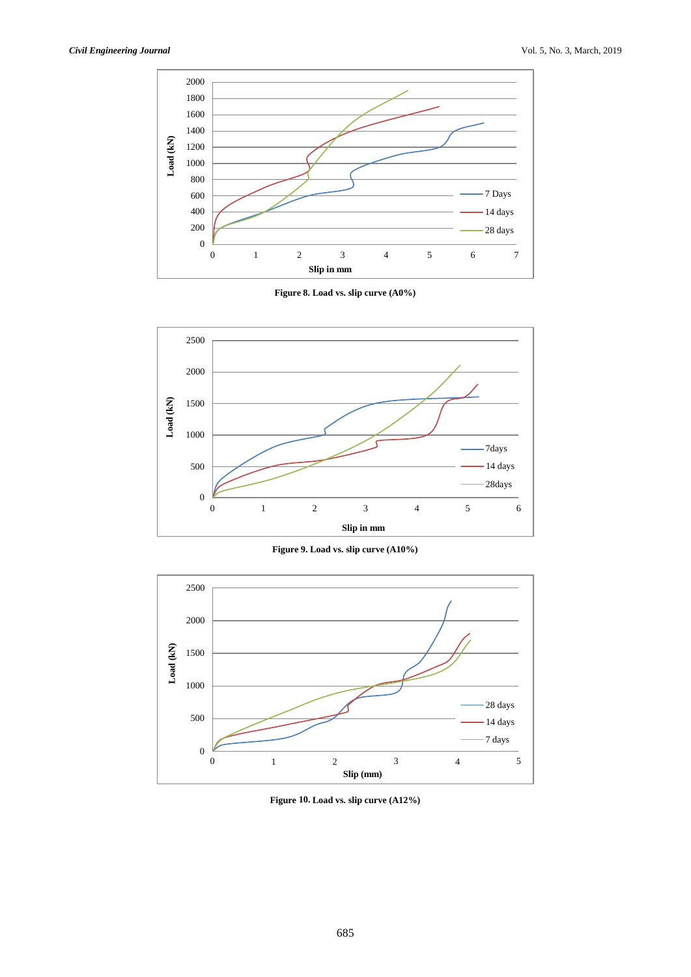

**Figure 8. Load vs. slip curve (A0%)**



**Figure 9. Load vs. slip curve (A10%)**



**Figure 10. Load vs. slip curve (A12%)**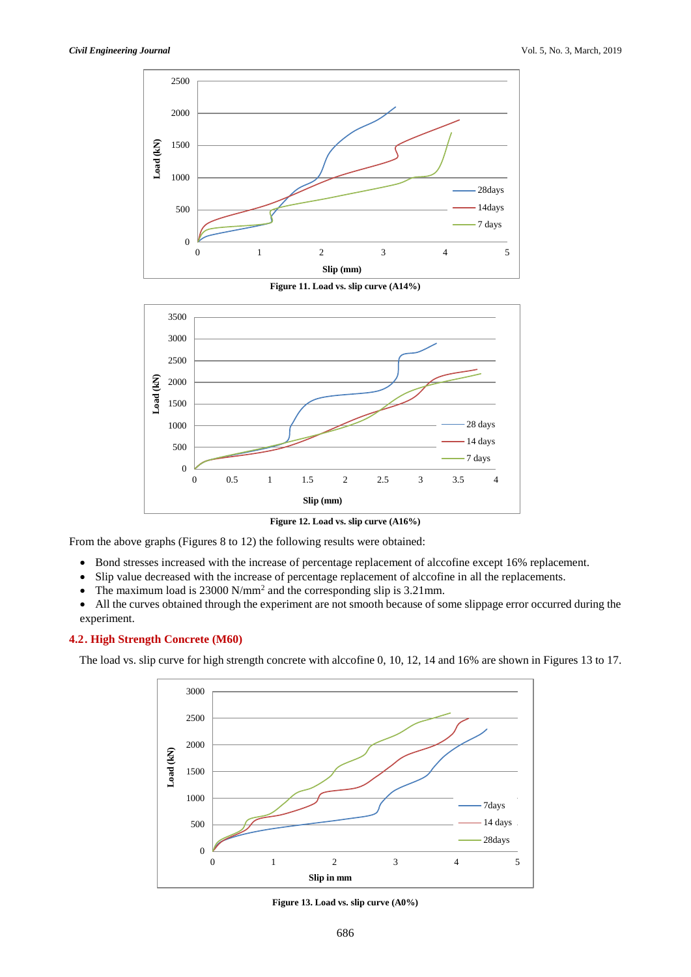

**Figure 11. Load vs. slip curve (A14%)**



**Figure 12. Load vs. slip curve (A16%)**

From the above graphs (Figures 8 to 12) the following results were obtained:

- Bond stresses increased with the increase of percentage replacement of alccofine except 16% replacement.
- Slip value decreased with the increase of percentage replacement of alccofine in all the replacements.
- The maximum load is  $23000 \text{ N/mm}^2$  and the corresponding slip is  $3.21 \text{ mm}$ .
- All the curves obtained through the experiment are not smooth because of some slippage error occurred during the experiment.

#### **4.2. High Strength Concrete (M60)**

The load vs. slip curve for high strength concrete with alccofine 0, 10, 12, 14 and 16% are shown in Figures 13 to 17.



**Figure 13. Load vs. slip curve (A0%)**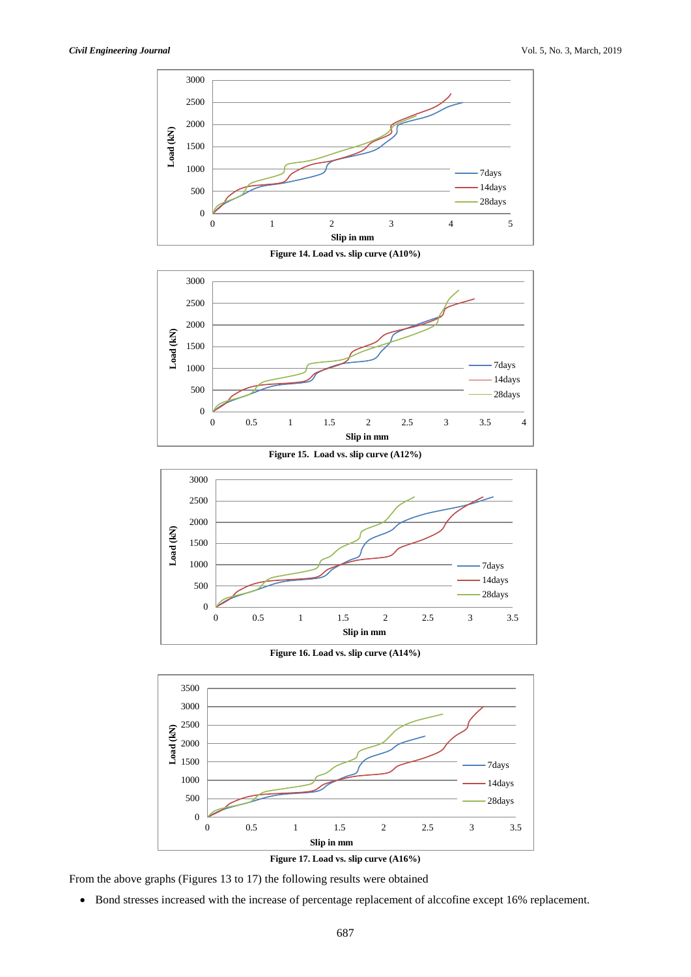

**Figure 14. Load vs. slip curve (A10%)**







**Figure 16. Load vs. slip curve (A14%)**





From the above graphs (Figures 13 to 17) the following results were obtained

Bond stresses increased with the increase of percentage replacement of alccofine except 16% replacement.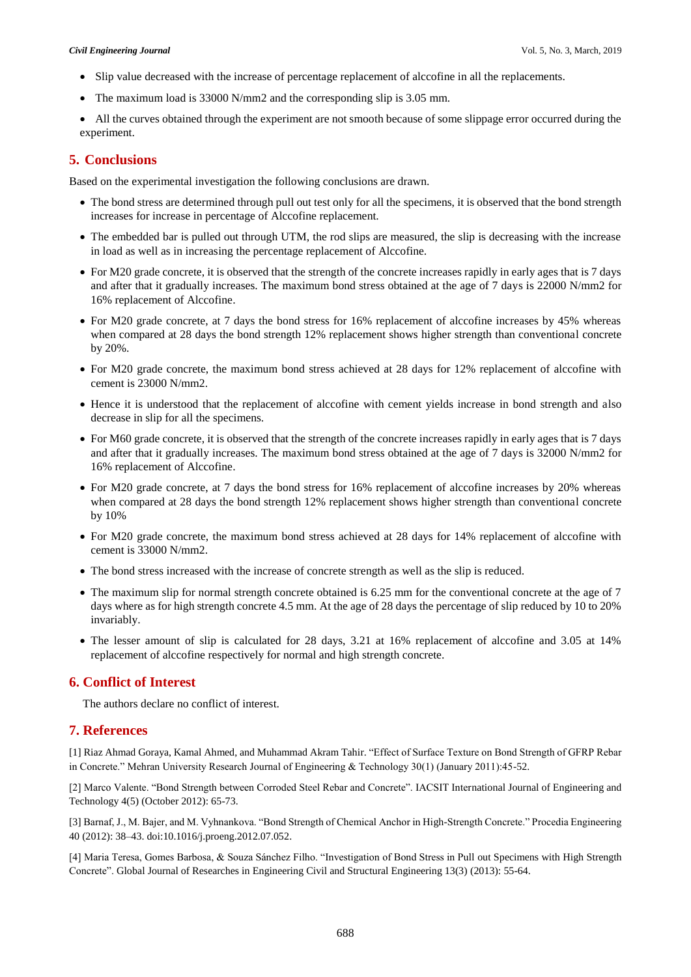- Slip value decreased with the increase of percentage replacement of alccofine in all the replacements.
- The maximum load is 33000 N/mm2 and the corresponding slip is 3.05 mm.
- All the curves obtained through the experiment are not smooth because of some slippage error occurred during the experiment.

## **5. Conclusions**

Based on the experimental investigation the following conclusions are drawn.

- The bond stress are determined through pull out test only for all the specimens, it is observed that the bond strength increases for increase in percentage of Alccofine replacement.
- The embedded bar is pulled out through UTM, the rod slips are measured, the slip is decreasing with the increase in load as well as in increasing the percentage replacement of Alccofine.
- For M20 grade concrete, it is observed that the strength of the concrete increases rapidly in early ages that is 7 days and after that it gradually increases. The maximum bond stress obtained at the age of 7 days is 22000 N/mm2 for 16% replacement of Alccofine.
- For M20 grade concrete, at 7 days the bond stress for 16% replacement of alccofine increases by 45% whereas when compared at 28 days the bond strength 12% replacement shows higher strength than conventional concrete by 20%.
- For M20 grade concrete, the maximum bond stress achieved at 28 days for 12% replacement of alccofine with cement is 23000 N/mm2.
- Hence it is understood that the replacement of alccofine with cement yields increase in bond strength and also decrease in slip for all the specimens.
- For M60 grade concrete, it is observed that the strength of the concrete increases rapidly in early ages that is 7 days and after that it gradually increases. The maximum bond stress obtained at the age of 7 days is 32000 N/mm2 for 16% replacement of Alccofine.
- For M20 grade concrete, at 7 days the bond stress for 16% replacement of alccofine increases by 20% whereas when compared at 28 days the bond strength 12% replacement shows higher strength than conventional concrete by 10%
- For M20 grade concrete, the maximum bond stress achieved at 28 days for 14% replacement of alccofine with cement is 33000 N/mm2.
- The bond stress increased with the increase of concrete strength as well as the slip is reduced.
- The maximum slip for normal strength concrete obtained is 6.25 mm for the conventional concrete at the age of 7 days where as for high strength concrete 4.5 mm. At the age of 28 days the percentage of slip reduced by 10 to 20% invariably.
- The lesser amount of slip is calculated for 28 days, 3.21 at 16% replacement of alccofine and 3.05 at 14% replacement of alccofine respectively for normal and high strength concrete.

# **6. Conflict of Interest**

The authors declare no conflict of interest.

# **7. References**

[1] Riaz Ahmad Goraya, Kamal Ahmed, and Muhammad Akram Tahir. "Effect of Surface Texture on Bond Strength of GFRP Rebar in Concrete." Mehran University Research Journal of Engineering & Technology 30(1) (January 2011):45-52.

[2] Marco Valente. "Bond Strength between Corroded Steel Rebar and Concrete". IACSIT International Journal of Engineering and Technology 4(5) (October 2012): 65-73.

[3] Barnaf, J., M. Bajer, and M. Vyhnankova. "Bond Strength of Chemical Anchor in High-Strength Concrete." Procedia Engineering 40 (2012): 38–43. doi:10.1016/j.proeng.2012.07.052.

[4] Maria Teresa, Gomes Barbosa, & Souza Sánchez Filho. "Investigation of Bond Stress in Pull out Specimens with High Strength Concrete". Global Journal of Researches in Engineering Civil and Structural Engineering 13(3) (2013): 55-64.